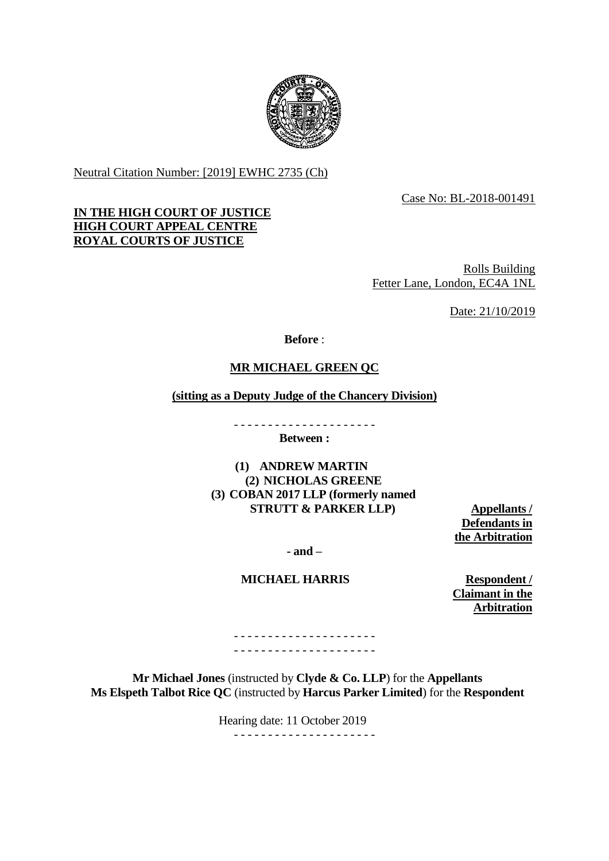

Neutral Citation Number: [2019] EWHC 2735 (Ch)

Case No: BL-2018-001491

# **IN THE HIGH COURT OF JUSTICE HIGH COURT APPEAL CENTRE ROYAL COURTS OF JUSTICE**

Rolls Building Fetter Lane, London, EC4A 1NL

Date: 21/10/2019

**Before** :

# **MR MICHAEL GREEN QC**

### **(sitting as a Deputy Judge of the Chancery Division)**

- - - - - - - - - - - - - - - - - - - - -

**Between :**

**(1) ANDREW MARTIN (2) NICHOLAS GREENE (3) COBAN 2017 LLP (formerly named STRUTT & PARKER LLP) Appellants /** 

**Defendants in the Arbitration**

**- and –**

### **MICHAEL HARRIS Respondent /**

**Claimant in the Arbitration**

- - - - - - - - - - - - - - - - - - - - - - - - - - - - - - - - - - - - - - - - - -

**Mr Michael Jones** (instructed by **Clyde & Co. LLP**) for the **Appellants Ms Elspeth Talbot Rice QC** (instructed by **Harcus Parker Limited**) for the **Respondent**

Hearing date: 11 October 2019

- - - - - - - - - - - - - - - - - - - - -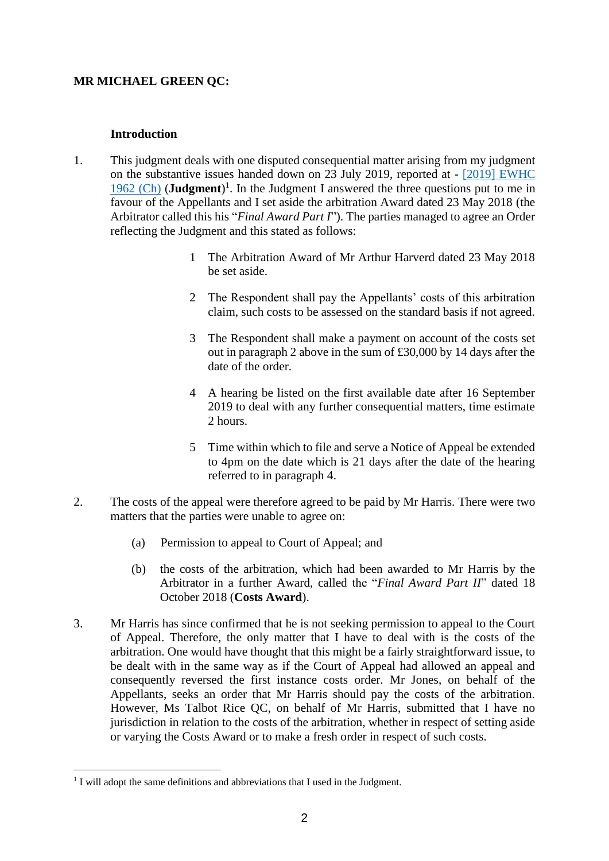# **MR MICHAEL GREEN QC:**

## **Introduction**

- 1. This judgment deals with one disputed consequential matter arising from my judgment on the substantive issues handed down on 23 July 2019, reported at - [\[2019\] EWHC](http://www.bailii.org/ew/cases/EWHC/Ch/2019/1962.html)  [1962 \(Ch\)](http://www.bailii.org/ew/cases/EWHC/Ch/2019/1962.html) (**Judgment**) 1 . In the Judgment I answered the three questions put to me in favour of the Appellants and I set aside the arbitration Award dated 23 May 2018 (the Arbitrator called this his "*Final Award Part I*"). The parties managed to agree an Order reflecting the Judgment and this stated as follows:
	- 1 The Arbitration Award of Mr Arthur Harverd dated 23 May 2018 be set aside.
	- 2 The Respondent shall pay the Appellants' costs of this arbitration claim, such costs to be assessed on the standard basis if not agreed.
	- 3 The Respondent shall make a payment on account of the costs set out in paragraph 2 above in the sum of £30,000 by 14 days after the date of the order.
	- 4 A hearing be listed on the first available date after 16 September 2019 to deal with any further consequential matters, time estimate 2 hours.
	- 5 Time within which to file and serve a Notice of Appeal be extended to 4pm on the date which is 21 days after the date of the hearing referred to in paragraph 4.
- 2. The costs of the appeal were therefore agreed to be paid by Mr Harris. There were two matters that the parties were unable to agree on:
	- (a) Permission to appeal to Court of Appeal; and
	- (b) the costs of the arbitration, which had been awarded to Mr Harris by the Arbitrator in a further Award, called the "*Final Award Part II*" dated 18 October 2018 (**Costs Award**).
- 3. Mr Harris has since confirmed that he is not seeking permission to appeal to the Court of Appeal. Therefore, the only matter that I have to deal with is the costs of the arbitration. One would have thought that this might be a fairly straightforward issue, to be dealt with in the same way as if the Court of Appeal had allowed an appeal and consequently reversed the first instance costs order. Mr Jones, on behalf of the Appellants, seeks an order that Mr Harris should pay the costs of the arbitration. However, Ms Talbot Rice QC, on behalf of Mr Harris, submitted that I have no jurisdiction in relation to the costs of the arbitration, whether in respect of setting aside or varying the Costs Award or to make a fresh order in respect of such costs.

<sup>1</sup> <sup>1</sup> I will adopt the same definitions and abbreviations that I used in the Judgment.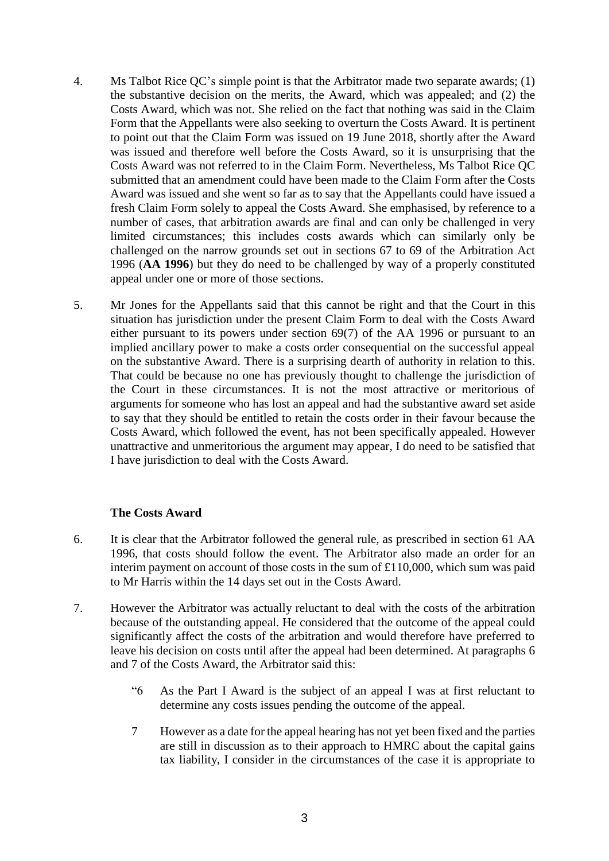- 4. Ms Talbot Rice QC's simple point is that the Arbitrator made two separate awards; (1) the substantive decision on the merits, the Award, which was appealed; and (2) the Costs Award, which was not. She relied on the fact that nothing was said in the Claim Form that the Appellants were also seeking to overturn the Costs Award. It is pertinent to point out that the Claim Form was issued on 19 June 2018, shortly after the Award was issued and therefore well before the Costs Award, so it is unsurprising that the Costs Award was not referred to in the Claim Form. Nevertheless, Ms Talbot Rice QC submitted that an amendment could have been made to the Claim Form after the Costs Award was issued and she went so far as to say that the Appellants could have issued a fresh Claim Form solely to appeal the Costs Award. She emphasised, by reference to a number of cases, that arbitration awards are final and can only be challenged in very limited circumstances; this includes costs awards which can similarly only be challenged on the narrow grounds set out in sections 67 to 69 of the Arbitration Act 1996 (**AA 1996**) but they do need to be challenged by way of a properly constituted appeal under one or more of those sections.
- 5. Mr Jones for the Appellants said that this cannot be right and that the Court in this situation has jurisdiction under the present Claim Form to deal with the Costs Award either pursuant to its powers under section 69(7) of the AA 1996 or pursuant to an implied ancillary power to make a costs order consequential on the successful appeal on the substantive Award. There is a surprising dearth of authority in relation to this. That could be because no one has previously thought to challenge the jurisdiction of the Court in these circumstances. It is not the most attractive or meritorious of arguments for someone who has lost an appeal and had the substantive award set aside to say that they should be entitled to retain the costs order in their favour because the Costs Award, which followed the event, has not been specifically appealed. However unattractive and unmeritorious the argument may appear, I do need to be satisfied that I have jurisdiction to deal with the Costs Award.

### **The Costs Award**

- 6. It is clear that the Arbitrator followed the general rule, as prescribed in section 61 AA 1996, that costs should follow the event. The Arbitrator also made an order for an interim payment on account of those costs in the sum of £110,000, which sum was paid to Mr Harris within the 14 days set out in the Costs Award.
- 7. However the Arbitrator was actually reluctant to deal with the costs of the arbitration because of the outstanding appeal. He considered that the outcome of the appeal could significantly affect the costs of the arbitration and would therefore have preferred to leave his decision on costs until after the appeal had been determined. At paragraphs 6 and 7 of the Costs Award, the Arbitrator said this:
	- "6 As the Part I Award is the subject of an appeal I was at first reluctant to determine any costs issues pending the outcome of the appeal.
	- 7 However as a date for the appeal hearing has not yet been fixed and the parties are still in discussion as to their approach to HMRC about the capital gains tax liability, I consider in the circumstances of the case it is appropriate to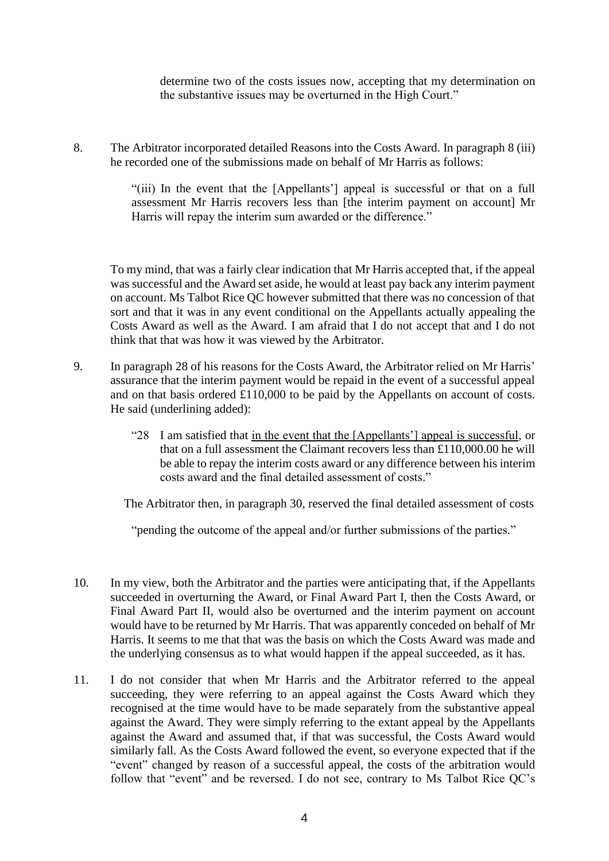determine two of the costs issues now, accepting that my determination on the substantive issues may be overturned in the High Court."

8. The Arbitrator incorporated detailed Reasons into the Costs Award. In paragraph 8 (iii) he recorded one of the submissions made on behalf of Mr Harris as follows:

> "(iii) In the event that the [Appellants'] appeal is successful or that on a full assessment Mr Harris recovers less than [the interim payment on account] Mr Harris will repay the interim sum awarded or the difference."

To my mind, that was a fairly clear indication that Mr Harris accepted that, if the appeal was successful and the Award set aside, he would at least pay back any interim payment on account. Ms Talbot Rice QC however submitted that there was no concession of that sort and that it was in any event conditional on the Appellants actually appealing the Costs Award as well as the Award. I am afraid that I do not accept that and I do not think that that was how it was viewed by the Arbitrator.

- 9. In paragraph 28 of his reasons for the Costs Award, the Arbitrator relied on Mr Harris' assurance that the interim payment would be repaid in the event of a successful appeal and on that basis ordered £110,000 to be paid by the Appellants on account of costs. He said (underlining added):
	- "28 I am satisfied that in the event that the [Appellants'] appeal is successful, or that on a full assessment the Claimant recovers less than £110,000.00 he will be able to repay the interim costs award or any difference between his interim costs award and the final detailed assessment of costs."

The Arbitrator then, in paragraph 30, reserved the final detailed assessment of costs

"pending the outcome of the appeal and/or further submissions of the parties."

- 10. In my view, both the Arbitrator and the parties were anticipating that, if the Appellants succeeded in overturning the Award, or Final Award Part I, then the Costs Award, or Final Award Part II, would also be overturned and the interim payment on account would have to be returned by Mr Harris. That was apparently conceded on behalf of Mr Harris. It seems to me that that was the basis on which the Costs Award was made and the underlying consensus as to what would happen if the appeal succeeded, as it has.
- 11. I do not consider that when Mr Harris and the Arbitrator referred to the appeal succeeding, they were referring to an appeal against the Costs Award which they recognised at the time would have to be made separately from the substantive appeal against the Award. They were simply referring to the extant appeal by the Appellants against the Award and assumed that, if that was successful, the Costs Award would similarly fall. As the Costs Award followed the event, so everyone expected that if the "event" changed by reason of a successful appeal, the costs of the arbitration would follow that "event" and be reversed. I do not see, contrary to Ms Talbot Rice QC's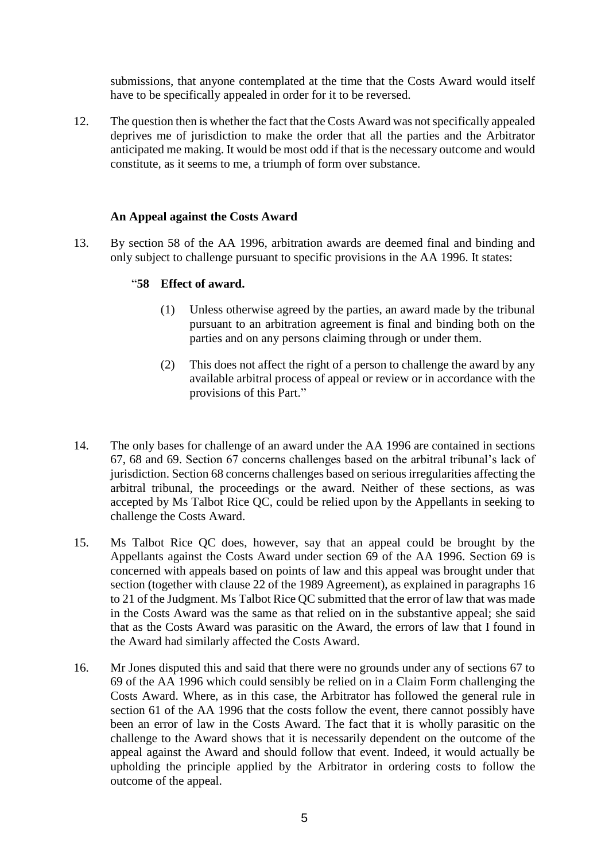submissions, that anyone contemplated at the time that the Costs Award would itself have to be specifically appealed in order for it to be reversed.

12. The question then is whether the fact that the Costs Award was not specifically appealed deprives me of jurisdiction to make the order that all the parties and the Arbitrator anticipated me making. It would be most odd if that is the necessary outcome and would constitute, as it seems to me, a triumph of form over substance.

## **An Appeal against the Costs Award**

13. By section 58 of the AA 1996, arbitration awards are deemed final and binding and only subject to challenge pursuant to specific provisions in the AA 1996. It states:

## "**58 Effect of award.**

- (1) Unless otherwise agreed by the parties, an award made by the tribunal pursuant to an arbitration agreement is final and binding both on the parties and on any persons claiming through or under them.
- (2) This does not affect the right of a person to challenge the award by any available arbitral process of appeal or review or in accordance with the provisions of this Part."
- 14. The only bases for challenge of an award under the AA 1996 are contained in sections 67, 68 and 69. Section 67 concerns challenges based on the arbitral tribunal's lack of jurisdiction. Section 68 concerns challenges based on serious irregularities affecting the arbitral tribunal, the proceedings or the award. Neither of these sections, as was accepted by Ms Talbot Rice QC, could be relied upon by the Appellants in seeking to challenge the Costs Award.
- 15. Ms Talbot Rice QC does, however, say that an appeal could be brought by the Appellants against the Costs Award under section 69 of the AA 1996. Section 69 is concerned with appeals based on points of law and this appeal was brought under that section (together with clause 22 of the 1989 Agreement), as explained in paragraphs 16 to 21 of the Judgment. Ms Talbot Rice QC submitted that the error of law that was made in the Costs Award was the same as that relied on in the substantive appeal; she said that as the Costs Award was parasitic on the Award, the errors of law that I found in the Award had similarly affected the Costs Award.
- 16. Mr Jones disputed this and said that there were no grounds under any of sections 67 to 69 of the AA 1996 which could sensibly be relied on in a Claim Form challenging the Costs Award. Where, as in this case, the Arbitrator has followed the general rule in section 61 of the AA 1996 that the costs follow the event, there cannot possibly have been an error of law in the Costs Award. The fact that it is wholly parasitic on the challenge to the Award shows that it is necessarily dependent on the outcome of the appeal against the Award and should follow that event. Indeed, it would actually be upholding the principle applied by the Arbitrator in ordering costs to follow the outcome of the appeal.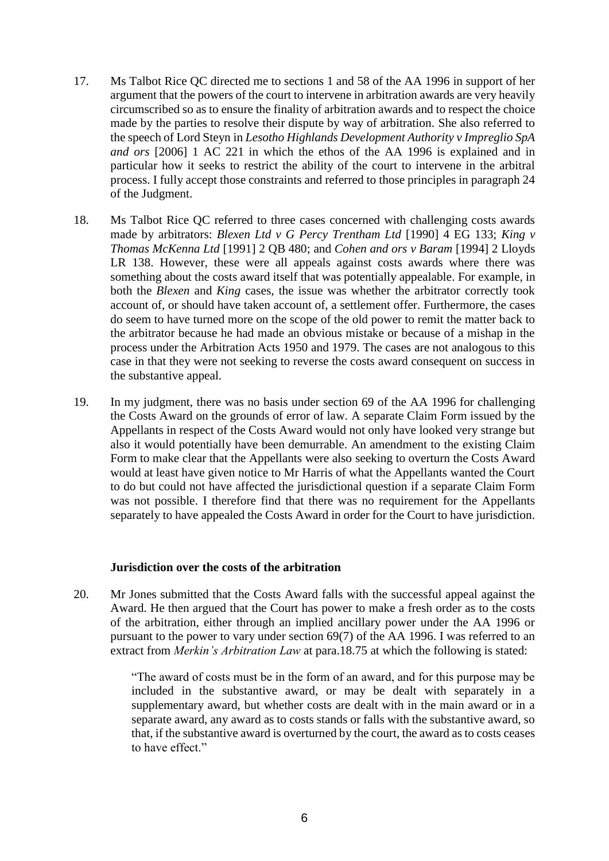- 17. Ms Talbot Rice QC directed me to sections 1 and 58 of the AA 1996 in support of her argument that the powers of the court to intervene in arbitration awards are very heavily circumscribed so as to ensure the finality of arbitration awards and to respect the choice made by the parties to resolve their dispute by way of arbitration. She also referred to the speech of Lord Steyn in *Lesotho Highlands Development Authority v Impreglio SpA and ors* [2006] 1 AC 221 in which the ethos of the AA 1996 is explained and in particular how it seeks to restrict the ability of the court to intervene in the arbitral process. I fully accept those constraints and referred to those principles in paragraph 24 of the Judgment.
- 18. Ms Talbot Rice QC referred to three cases concerned with challenging costs awards made by arbitrators: *Blexen Ltd v G Percy Trentham Ltd* [1990] 4 EG 133; *King v Thomas McKenna Ltd* [1991] 2 QB 480; and *Cohen and ors v Baram* [1994] 2 Lloyds LR 138. However, these were all appeals against costs awards where there was something about the costs award itself that was potentially appealable. For example, in both the *Blexen* and *King* cases, the issue was whether the arbitrator correctly took account of, or should have taken account of, a settlement offer. Furthermore, the cases do seem to have turned more on the scope of the old power to remit the matter back to the arbitrator because he had made an obvious mistake or because of a mishap in the process under the Arbitration Acts 1950 and 1979. The cases are not analogous to this case in that they were not seeking to reverse the costs award consequent on success in the substantive appeal.
- 19. In my judgment, there was no basis under section 69 of the AA 1996 for challenging the Costs Award on the grounds of error of law. A separate Claim Form issued by the Appellants in respect of the Costs Award would not only have looked very strange but also it would potentially have been demurrable. An amendment to the existing Claim Form to make clear that the Appellants were also seeking to overturn the Costs Award would at least have given notice to Mr Harris of what the Appellants wanted the Court to do but could not have affected the jurisdictional question if a separate Claim Form was not possible. I therefore find that there was no requirement for the Appellants separately to have appealed the Costs Award in order for the Court to have jurisdiction.

#### **Jurisdiction over the costs of the arbitration**

20. Mr Jones submitted that the Costs Award falls with the successful appeal against the Award. He then argued that the Court has power to make a fresh order as to the costs of the arbitration, either through an implied ancillary power under the AA 1996 or pursuant to the power to vary under section 69(7) of the AA 1996. I was referred to an extract from *Merkin's Arbitration Law* at para.18.75 at which the following is stated:

> "The award of costs must be in the form of an award, and for this purpose may be included in the substantive award, or may be dealt with separately in a supplementary award, but whether costs are dealt with in the main award or in a separate award, any award as to costs stands or falls with the substantive award, so that, if the substantive award is overturned by the court, the award as to costs ceases to have effect."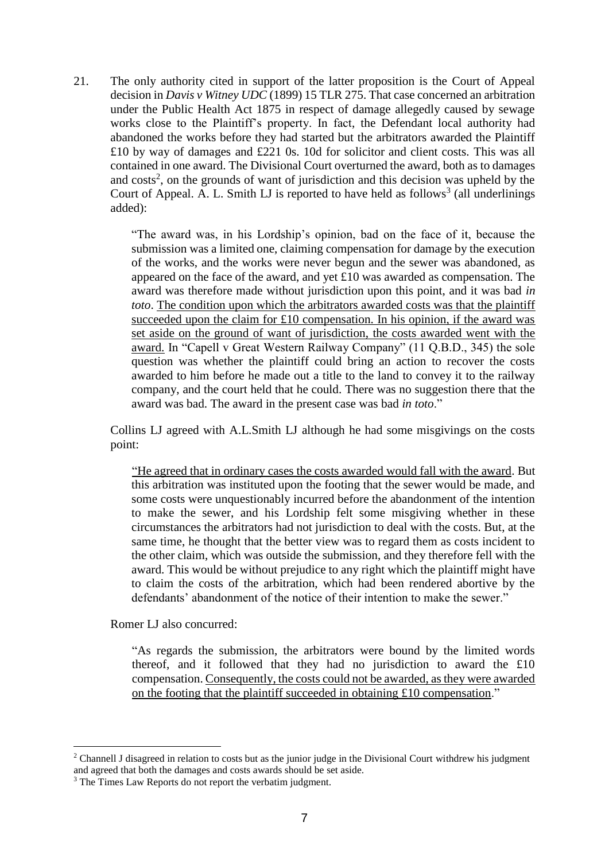21. The only authority cited in support of the latter proposition is the Court of Appeal decision in *Davis v Witney UDC* (1899) 15 TLR 275. That case concerned an arbitration under the Public Health Act 1875 in respect of damage allegedly caused by sewage works close to the Plaintiff's property. In fact, the Defendant local authority had abandoned the works before they had started but the arbitrators awarded the Plaintiff £10 by way of damages and £221 0s. 10d for solicitor and client costs. This was all contained in one award. The Divisional Court overturned the award, both as to damages and  $costs<sup>2</sup>$ , on the grounds of want of jurisdiction and this decision was upheld by the Court of Appeal. A. L. Smith LJ is reported to have held as follows<sup>3</sup> (all underlinings added):

> "The award was, in his Lordship's opinion, bad on the face of it, because the submission was a limited one, claiming compensation for damage by the execution of the works, and the works were never begun and the sewer was abandoned, as appeared on the face of the award, and yet £10 was awarded as compensation. The award was therefore made without jurisdiction upon this point, and it was bad *in toto*. The condition upon which the arbitrators awarded costs was that the plaintiff succeeded upon the claim for £10 compensation. In his opinion, if the award was set aside on the ground of want of jurisdiction, the costs awarded went with the award. In "Capell v Great Western Railway Company" (11 Q.B.D., 345) the sole question was whether the plaintiff could bring an action to recover the costs awarded to him before he made out a title to the land to convey it to the railway company, and the court held that he could. There was no suggestion there that the award was bad. The award in the present case was bad *in toto*."

Collins LJ agreed with A.L.Smith LJ although he had some misgivings on the costs point:

"He agreed that in ordinary cases the costs awarded would fall with the award. But this arbitration was instituted upon the footing that the sewer would be made, and some costs were unquestionably incurred before the abandonment of the intention to make the sewer, and his Lordship felt some misgiving whether in these circumstances the arbitrators had not jurisdiction to deal with the costs. But, at the same time, he thought that the better view was to regard them as costs incident to the other claim, which was outside the submission, and they therefore fell with the award. This would be without prejudice to any right which the plaintiff might have to claim the costs of the arbitration, which had been rendered abortive by the defendants' abandonment of the notice of their intention to make the sewer."

Romer LJ also concurred:

<u>.</u>

"As regards the submission, the arbitrators were bound by the limited words thereof, and it followed that they had no jurisdiction to award the £10 compensation. Consequently, the costs could not be awarded, as they were awarded on the footing that the plaintiff succeeded in obtaining £10 compensation."

<sup>&</sup>lt;sup>2</sup> Channell J disagreed in relation to costs but as the junior judge in the Divisional Court withdrew his judgment and agreed that both the damages and costs awards should be set aside.

<sup>&</sup>lt;sup>3</sup> The Times Law Reports do not report the verbatim judgment.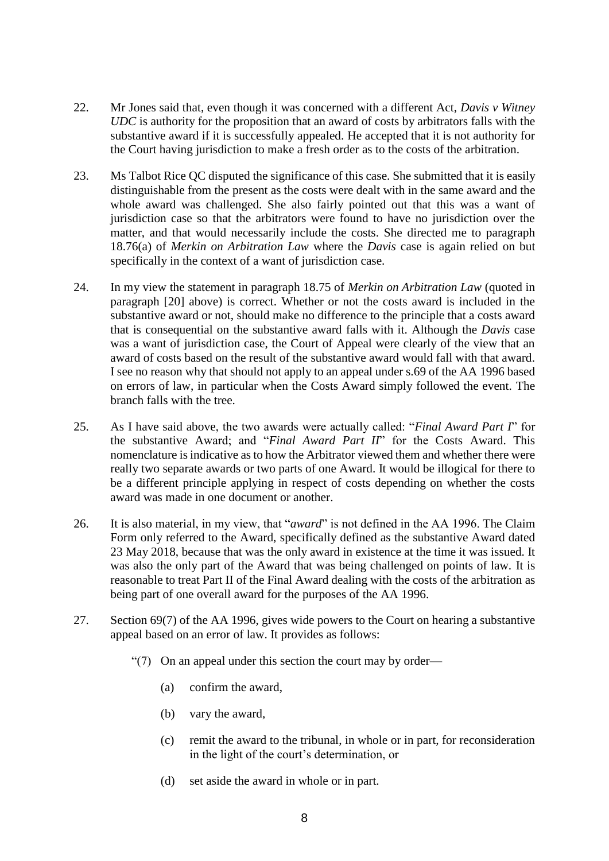- 22. Mr Jones said that, even though it was concerned with a different Act, *Davis v Witney UDC* is authority for the proposition that an award of costs by arbitrators falls with the substantive award if it is successfully appealed. He accepted that it is not authority for the Court having jurisdiction to make a fresh order as to the costs of the arbitration.
- 23. Ms Talbot Rice QC disputed the significance of this case. She submitted that it is easily distinguishable from the present as the costs were dealt with in the same award and the whole award was challenged. She also fairly pointed out that this was a want of jurisdiction case so that the arbitrators were found to have no jurisdiction over the matter, and that would necessarily include the costs. She directed me to paragraph 18.76(a) of *Merkin on Arbitration Law* where the *Davis* case is again relied on but specifically in the context of a want of jurisdiction case.
- 24. In my view the statement in paragraph 18.75 of *Merkin on Arbitration Law* (quoted in paragraph [20] above) is correct. Whether or not the costs award is included in the substantive award or not, should make no difference to the principle that a costs award that is consequential on the substantive award falls with it. Although the *Davis* case was a want of jurisdiction case, the Court of Appeal were clearly of the view that an award of costs based on the result of the substantive award would fall with that award. I see no reason why that should not apply to an appeal under s.69 of the AA 1996 based on errors of law, in particular when the Costs Award simply followed the event. The branch falls with the tree.
- 25. As I have said above, the two awards were actually called: "*Final Award Part I*" for the substantive Award; and "*Final Award Part II*" for the Costs Award. This nomenclature is indicative as to how the Arbitrator viewed them and whether there were really two separate awards or two parts of one Award. It would be illogical for there to be a different principle applying in respect of costs depending on whether the costs award was made in one document or another.
- 26. It is also material, in my view, that "*award*" is not defined in the AA 1996. The Claim Form only referred to the Award, specifically defined as the substantive Award dated 23 May 2018, because that was the only award in existence at the time it was issued. It was also the only part of the Award that was being challenged on points of law. It is reasonable to treat Part II of the Final Award dealing with the costs of the arbitration as being part of one overall award for the purposes of the AA 1996.
- 27. Section 69(7) of the AA 1996, gives wide powers to the Court on hearing a substantive appeal based on an error of law. It provides as follows:
	- "(7) On an appeal under this section the court may by order—
		- (a) confirm the award,
		- (b) vary the award,
		- (c) remit the award to the tribunal, in whole or in part, for reconsideration in the light of the court's determination, or
		- (d) set aside the award in whole or in part.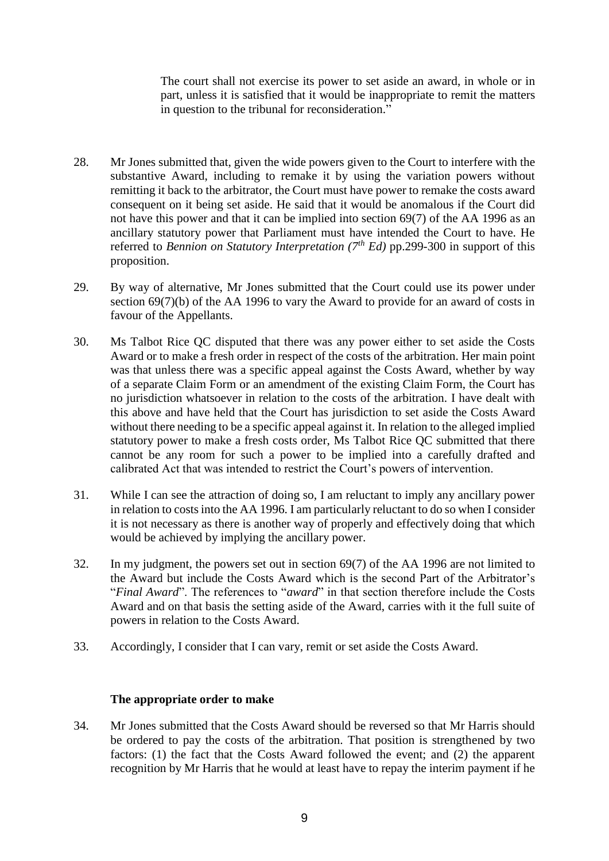The court shall not exercise its power to set aside an award, in whole or in part, unless it is satisfied that it would be inappropriate to remit the matters in question to the tribunal for reconsideration."

- 28. Mr Jones submitted that, given the wide powers given to the Court to interfere with the substantive Award, including to remake it by using the variation powers without remitting it back to the arbitrator, the Court must have power to remake the costs award consequent on it being set aside. He said that it would be anomalous if the Court did not have this power and that it can be implied into section 69(7) of the AA 1996 as an ancillary statutory power that Parliament must have intended the Court to have. He referred to *Bennion on Statutory Interpretation* ( $7<sup>th</sup> Ed$ ) pp.299-300 in support of this proposition.
- 29. By way of alternative, Mr Jones submitted that the Court could use its power under section 69(7)(b) of the AA 1996 to vary the Award to provide for an award of costs in favour of the Appellants.
- 30. Ms Talbot Rice QC disputed that there was any power either to set aside the Costs Award or to make a fresh order in respect of the costs of the arbitration. Her main point was that unless there was a specific appeal against the Costs Award, whether by way of a separate Claim Form or an amendment of the existing Claim Form, the Court has no jurisdiction whatsoever in relation to the costs of the arbitration. I have dealt with this above and have held that the Court has jurisdiction to set aside the Costs Award without there needing to be a specific appeal against it. In relation to the alleged implied statutory power to make a fresh costs order, Ms Talbot Rice QC submitted that there cannot be any room for such a power to be implied into a carefully drafted and calibrated Act that was intended to restrict the Court's powers of intervention.
- 31. While I can see the attraction of doing so, I am reluctant to imply any ancillary power in relation to costs into the AA 1996. I am particularly reluctant to do so when I consider it is not necessary as there is another way of properly and effectively doing that which would be achieved by implying the ancillary power.
- 32. In my judgment, the powers set out in section 69(7) of the AA 1996 are not limited to the Award but include the Costs Award which is the second Part of the Arbitrator's "*Final Award*". The references to "*award*" in that section therefore include the Costs Award and on that basis the setting aside of the Award, carries with it the full suite of powers in relation to the Costs Award.
- 33. Accordingly, I consider that I can vary, remit or set aside the Costs Award.

### **The appropriate order to make**

34. Mr Jones submitted that the Costs Award should be reversed so that Mr Harris should be ordered to pay the costs of the arbitration. That position is strengthened by two factors: (1) the fact that the Costs Award followed the event; and (2) the apparent recognition by Mr Harris that he would at least have to repay the interim payment if he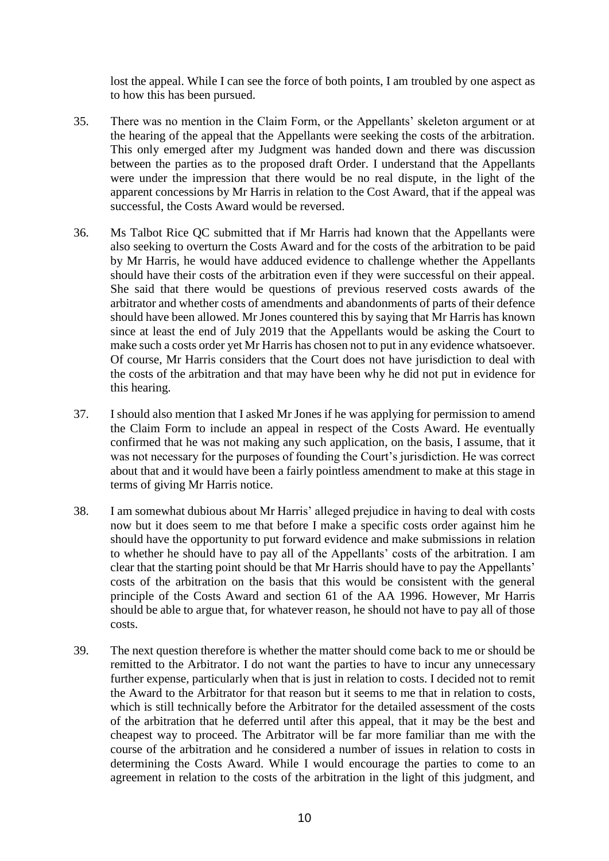lost the appeal. While I can see the force of both points, I am troubled by one aspect as to how this has been pursued.

- 35. There was no mention in the Claim Form, or the Appellants' skeleton argument or at the hearing of the appeal that the Appellants were seeking the costs of the arbitration. This only emerged after my Judgment was handed down and there was discussion between the parties as to the proposed draft Order. I understand that the Appellants were under the impression that there would be no real dispute, in the light of the apparent concessions by Mr Harris in relation to the Cost Award, that if the appeal was successful, the Costs Award would be reversed.
- 36. Ms Talbot Rice QC submitted that if Mr Harris had known that the Appellants were also seeking to overturn the Costs Award and for the costs of the arbitration to be paid by Mr Harris, he would have adduced evidence to challenge whether the Appellants should have their costs of the arbitration even if they were successful on their appeal. She said that there would be questions of previous reserved costs awards of the arbitrator and whether costs of amendments and abandonments of parts of their defence should have been allowed. Mr Jones countered this by saying that Mr Harris has known since at least the end of July 2019 that the Appellants would be asking the Court to make such a costs order yet Mr Harris has chosen not to put in any evidence whatsoever. Of course, Mr Harris considers that the Court does not have jurisdiction to deal with the costs of the arbitration and that may have been why he did not put in evidence for this hearing.
- 37. I should also mention that I asked Mr Jones if he was applying for permission to amend the Claim Form to include an appeal in respect of the Costs Award. He eventually confirmed that he was not making any such application, on the basis, I assume, that it was not necessary for the purposes of founding the Court's jurisdiction. He was correct about that and it would have been a fairly pointless amendment to make at this stage in terms of giving Mr Harris notice.
- 38. I am somewhat dubious about Mr Harris' alleged prejudice in having to deal with costs now but it does seem to me that before I make a specific costs order against him he should have the opportunity to put forward evidence and make submissions in relation to whether he should have to pay all of the Appellants' costs of the arbitration. I am clear that the starting point should be that Mr Harris should have to pay the Appellants' costs of the arbitration on the basis that this would be consistent with the general principle of the Costs Award and section 61 of the AA 1996. However, Mr Harris should be able to argue that, for whatever reason, he should not have to pay all of those costs.
- 39. The next question therefore is whether the matter should come back to me or should be remitted to the Arbitrator. I do not want the parties to have to incur any unnecessary further expense, particularly when that is just in relation to costs. I decided not to remit the Award to the Arbitrator for that reason but it seems to me that in relation to costs, which is still technically before the Arbitrator for the detailed assessment of the costs of the arbitration that he deferred until after this appeal, that it may be the best and cheapest way to proceed. The Arbitrator will be far more familiar than me with the course of the arbitration and he considered a number of issues in relation to costs in determining the Costs Award. While I would encourage the parties to come to an agreement in relation to the costs of the arbitration in the light of this judgment, and